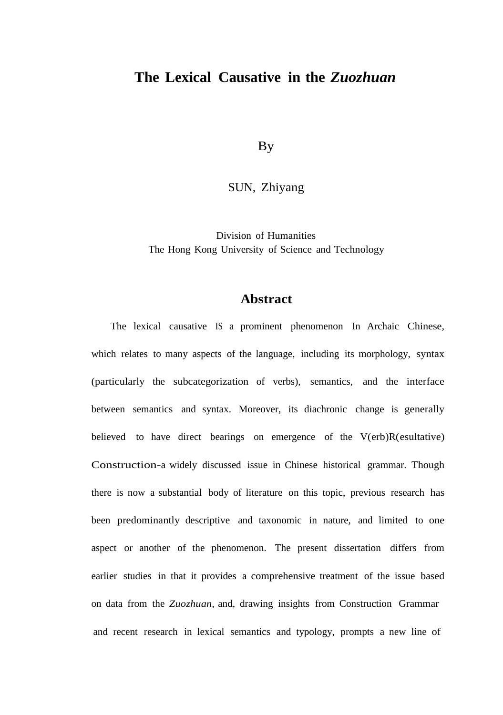## **The Lexical Causative in the** *Zuozhuan*

**B**<sub>V</sub>

SUN, Zhiyang

Division of Humanities The Hong Kong University of Science and Technology

## **Abstract**

The lexical causative IS a prominent phenomenon In Archaic Chinese, which relates to many aspects of the language, including its morphology, syntax (particularly the subcategorization of verbs), semantics, and the interface between semantics and syntax. Moreover, its diachronic change is generally believed to have direct bearings on emergence of the V(erb)R(esultative) Construction-a widely discussed issue in Chinese historical grammar. Though there is now a substantial body of literature on this topic, previous research has been predominantly descriptive and taxonomic in nature, and limited to one aspect or another of the phenomenon. The present dissertation differs from earlier studies in that it provides a comprehensive treatment of the issue based on data from the *Zuozhuan,* and, drawing insights from Construction Grammar and recent research in lexical semantics and typology, prompts a new line of